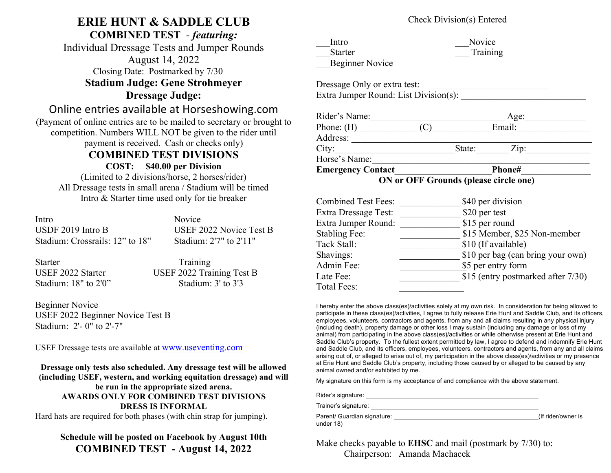# **ERIE HUNT & SADDLE CLUB**

**COMBINED TEST** - *featuring:*

Individual Dressage Tests and Jumper Rounds August 14, 2022 Closing Date: Postmarked by 7/30 **Stadium Judge: Gene Strohmeyer**

**Dressage Judge:**

## Online entries available at Horseshowing.com

(Payment of online entries are to be mailed to secretary or brought to competition. Numbers WILL NOT be given to the rider until payment is received. Cash or checks only)

### **COMBINED TEST DIVISIONS**

**COST: \$40.00 per Division**

(Limited to 2 divisions/horse, 2 horses/rider) All Dressage tests in small arena / Stadium will be timed Intro & Starter time used only for tie breaker

| Intro                           | <b>Novice</b>           |
|---------------------------------|-------------------------|
| USDF 2019 Intro B               | USEF 2022 Novice Test B |
| Stadium: Crossrails: 12" to 18" | Stadium: 2'7" to 2'11"  |

Starter Training

USEF 2022 Starter USEF 2022 Training Test B Stadium:  $18"$  to  $2'0"$  Stadium: 3' to 3'3

Beginner Novice USEF 2022 Beginner Novice Test B Stadium: 2'- 0" to 2'-7"

USEF Dressage tests are available at www.useventing.com

**Dressage only tests also scheduled. Any dressage test will be allowed (including USEF, western, and working equitation dressage) and will be run in the appropriate sized arena. AWARDS ONLY FOR COMBINED TEST DIVISIONS DRESS IS INFORMAL** Hard hats are required for both phases (with chin strap for jumping).

#### **Schedule will be posted on Facebook by August 10th COMBINED TEST - August 14, 2022**

#### Check Division(s) Entered

| Intro                  | Novice   |
|------------------------|----------|
| <b>Starter</b>         | Training |
| <b>Beginner Novice</b> |          |

| Dressage Only or extra test:          |  |
|---------------------------------------|--|
| Extra Jumper Round: List Division(s): |  |

| Rider's Name: |        | Age:               |  |
|---------------|--------|--------------------|--|
| Phone: $(H)$  |        | Email:             |  |
| Address:      |        |                    |  |
| City:         | State: | $\overline{Lip}$ : |  |
| Horse's Name: |        |                    |  |
| $-$           |        |                    |  |

Emergency Contact Phone#

 **ON or OFF Grounds (please circle one)**

| <b>Combined Test Fees:</b>  | \$40 per division                  |
|-----------------------------|------------------------------------|
| <b>Extra Dressage Test:</b> | \$20 per test                      |
| Extra Jumper Round:         | \$15 per round                     |
| <b>Stabling Fee:</b>        | \$15 Member, \$25 Non-member       |
| Tack Stall:                 | \$10 (If available)                |
| Shavings:                   | \$10 per bag (can bring your own)  |
| Admin Fee:                  | \$5 per entry form                 |
| Late Fee:                   | \$15 (entry postmarked after 7/30) |
| Total Fees:                 |                                    |

I hereby enter the above class(es)/activities solely at my own risk. In consideration for being allowed to participate in these class(es)/activities, I agree to fully release Erie Hunt and Saddle Club, and its officers, employees, volunteers, contractors and agents, from any and all claims resulting in any physical injury (including death), property damage or other loss I may sustain (including any damage or loss of my animal) from participating in the above class(es)/activities or while otherwise present at Erie Hunt and Saddle Club's property. To the fullest extent permitted by law, I agree to defend and indemnify Erie Hunt and Saddle Club, and its officers, employees, volunteers, contractors and agents, from any and all claims arising out of, or alleged to arise out of, my participation in the above class(es)/activities or my presence at Erie Hunt and Saddle Club's property, including those caused by or alleged to be caused by any animal owned and/or exhibited by me.

My signature on this form is my acceptance of and compliance with the above statement.

Rider's signature:

Trainer's signature:

| Parent/ Guardian signature: |  |
|-----------------------------|--|
| under 18)                   |  |

(If rider/owner is

Make checks payable to **EHSC** and mail (postmark by 7/30) to: Chairperson: Amanda Machacek